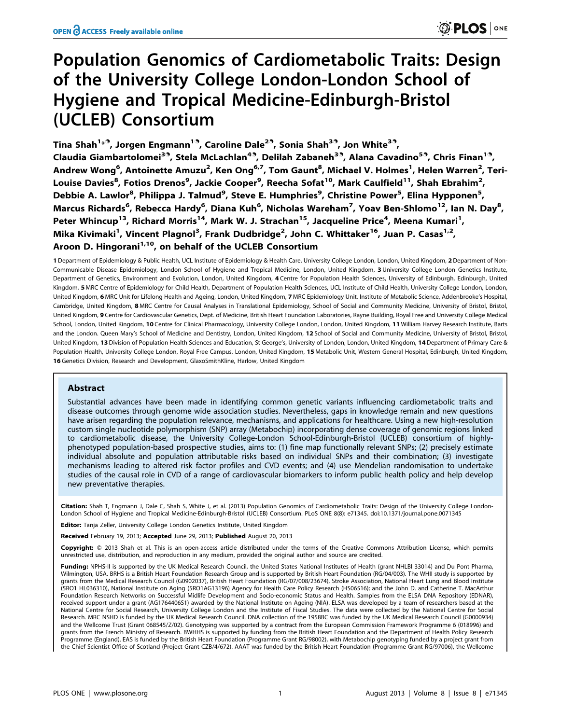# Population Genomics of Cardiometabolic Traits: Design of the University College London-London School of Hygiene and Tropical Medicine-Edinburgh-Bristol (UCLEB) Consortium

Tina Shah<sup>1</sup>\*<sup>9</sup>, Jorgen Engmann<sup>19</sup>, Caroline Dale<sup>29</sup>, Sonia Shah<sup>39</sup>, Jon White<sup>39</sup>, Claudia Giambartolomei<sup>3.</sup>, Stela McLachlan<sup>4.</sup>, Delilah Zabaneh<sup>3.</sup>, Alana Cavadino<sup>5.</sup>, Chris Finan<sup>1.</sup>, Andrew Wong<sup>6</sup>, Antoinette Amuzu<sup>2</sup>, Ken Ong<sup>6,7</sup>, Tom Gaunt<sup>8</sup>, Michael V. Holmes<sup>1</sup>, Helen Warren<sup>2</sup>, Teri-Louise Davies<sup>8</sup>, Fotios Drenos<sup>9</sup>, Jackie Cooper<sup>9</sup>, Reecha Sofat<sup>10</sup>, Mark Caulfield<sup>11</sup>, Shah Ebrahim<sup>2</sup>, Debbie A. Lawlor<sup>8</sup>, Philippa J. Talmud<sup>9</sup>, Steve E. Humphries<sup>9</sup>, Christine Power<sup>5</sup>, Elina Hypponen<sup>5</sup>, Marcus Richards<sup>6</sup>, Rebecca Hardy<sup>6</sup>, Diana Kuh<sup>6</sup>, Nicholas Wareham<sup>7</sup>, Yoav Ben-Shlomo<sup>12</sup>, Ian N. Day<sup>8</sup>, Peter Whincup<sup>13</sup>, Richard Morris<sup>14</sup>, Mark W. J. Strachan<sup>15</sup>, Jacqueline Price<sup>4</sup>, Meena Kumari<sup>1</sup>, Mika Kivimaki<sup>1</sup>, Vincent Plagnol<sup>3</sup>, Frank Dudbridge<sup>2</sup>, John C. Whittaker<sup>16</sup>, Juan P. Casas<sup>1,2</sup>, Aroon D. Hingorani<sup>1,10</sup>, on behalf of the UCLEB Consortium

1 Department of Epidemiology & Public Health, UCL Institute of Epidemiology & Health Care, University College London, London, United Kingdom, 2 Department of Non-Communicable Disease Epidemiology, London School of Hygiene and Tropical Medicine, London, United Kingdom, 3 University College London Genetics Institute, Department of Genetics, Environment and Evolution, London, United Kingdom, 4 Centre for Population Health Sciences, University of Edinburgh, Edinburgh, United Kingdom, 5 MRC Centre of Epidemiology for Child Health, Department of Population Health Sciences, UCL Institute of Child Health, University College London, London, London, United Kingdom, 6 MRC Unit for Lifelong Health and Ageing, London, United Kingdom, 7 MRC Epidemiology Unit, Institute of Metabolic Science, Addenbrooke's Hospital, Cambridge, United Kingdom, 8 MRC Centre for Causal Analyses in Translational Epidemiology, School of Social and Community Medicine, University of Bristol, Bristol, United Kingdom, 9 Centre for Cardiovascular Genetics, Dept. of Medicine, British Heart Foundation Laboratories, Rayne Building, Royal Free and University College Medical School, London, United Kingdom, 10 Centre for Clinical Pharmacology, University College London, London, United Kingdom, 11 William Harvey Research Institute, Barts and the London. Queen Mary's School of Medicine and Dentistry, London, United Kingdom, 12 School of Social and Community Medicine, University of Bristol, Bristol, United Kingdom, 13 Division of Population Health Sciences and Education, St George's, University of London, London, United Kingdom, 14 Department of Primary Care & Population Health, University College London, Royal Free Campus, London, United Kingdom, 15 Metabolic Unit, Western General Hospital, Edinburgh, United Kingdom, 16 Genetics Division, Research and Development, GlaxoSmithKline, Harlow, United Kingdom

# Abstract

Substantial advances have been made in identifying common genetic variants influencing cardiometabolic traits and disease outcomes through genome wide association studies. Nevertheless, gaps in knowledge remain and new questions have arisen regarding the population relevance, mechanisms, and applications for healthcare. Using a new high-resolution custom single nucleotide polymorphism (SNP) array (Metabochip) incorporating dense coverage of genomic regions linked to cardiometabolic disease, the University College-London School-Edinburgh-Bristol (UCLEB) consortium of highlyphenotyped population-based prospective studies, aims to: (1) fine map functionally relevant SNPs; (2) precisely estimate individual absolute and population attributable risks based on individual SNPs and their combination; (3) investigate mechanisms leading to altered risk factor profiles and CVD events; and (4) use Mendelian randomisation to undertake studies of the causal role in CVD of a range of cardiovascular biomarkers to inform public health policy and help develop new preventative therapies.

Citation: Shah T, Engmann J, Dale C, Shah S, White J, et al. (2013) Population Genomics of Cardiometabolic Traits: Design of the University College London-London School of Hygiene and Tropical Medicine-Edinburgh-Bristol (UCLEB) Consortium. PLoS ONE 8(8): e71345. doi:10.1371/journal.pone.0071345

**Editor:** Tanja Zeller, University College London Genetics Institute, United Kingdom

Received February 19, 2013; Accepted June 29, 2013; Published August 20, 2013

Copyright: © 2013 Shah et al. This is an open-access article distributed under the terms of the Creative Commons Attribution License, which permits unrestricted use, distribution, and reproduction in any medium, provided the original author and source are credited.

Funding: NPHS-II is supported by the UK Medical Research Council, the United States National Institutes of Health (grant NHLBI 33014) and Du Pont Pharma, Wilmington, USA. BRHS is a British Heart Foundation Research Group and is supported by British Heart Foundation (RG/04/003). The WHII study is supported by grants from the Medical Research Council (G0902037), British Heart Foundation (RG/07/008/23674), Stroke Association, National Heart Lung and Blood Institute (5RO1 HL036310), National Institute on Aging (5RO1AG13196) Agency for Health Care Policy Research (HS06516); and the John D. and Catherine T. MacArthur Foundation Research Networks on Successful Midlife Development and Socio-economic Status and Health. Samples from the ELSA DNA Repository (EDNAR), received support under a grant (AG1764406S1) awarded by the National Institute on Ageing (NIA). ELSA was developed by a team of researchers based at the National Centre for Social Research, University College London and the Institute of Fiscal Studies. The data were collected by the National Centre for Social Research. MRC NSHD is funded by the UK Medical Research Council. DNA collection of the 1958BC was funded by the UK Medical Research Council (G0000934) and the Wellcome Trust (Grant 068545/Z/02). Genotyping was supported by a contract from the European Commission Framework Programme 6 (018996) and grants from the French Ministry of Research. BWHHS is supported by funding from the British Heart Foundation and the Department of Health Policy Research Programme (England). EAS is funded by the British Heart Foundation (Programme Grant RG/98002), with Metabochip genotyping funded by a project grant from the Chief Scientist Office of Scotland (Project Grant CZB/4/672). AAAT was funded by the British Heart Foundation (Programme Grant RG/97006), the Wellcome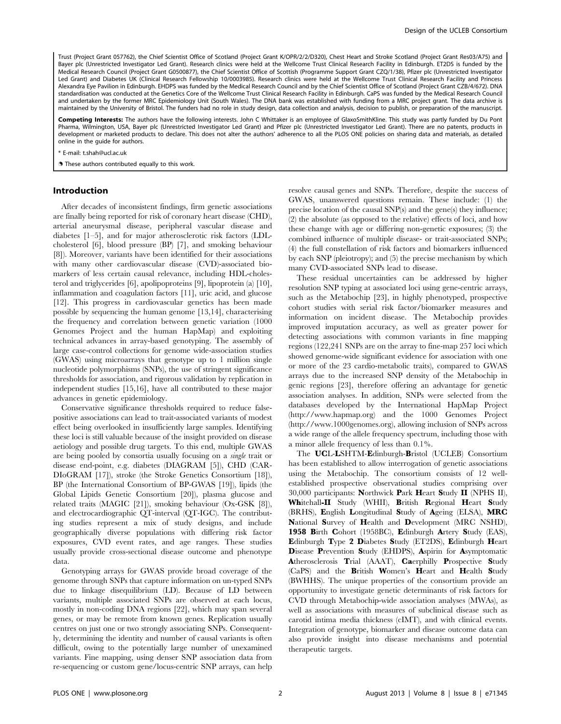Trust (Project Grant 057762), the Chief Scientist Office of Scotland (Project Grant K/OPR/2/2/D320), Chest Heart and Stroke Scotland (Project Grant Res03/A75) and Bayer plc (Unrestricted Investigator Led Grant). Research clinics were held at the Wellcome Trust Clinical Research Facility in Edinburgh. ET2DS is funded by the Medical Research Council (Project Grant G0500877), the Chief Scientist Office of Scottish (Programme Support Grant CZQ/1/38), Pfizer plc (Unrestricted Investigator Led Grant) and Diabetes UK (Clinical Research Fellowship 10/0003985). Research clinics were held at the Wellcome Trust Clinical Research Facility and Princess Alexandra Eye Pavilion in Edinburgh. EHDPS was funded by the Medical Research Council and by the Chief Scientist Office of Scotland (Project Grant CZB/4/672). DNA standardisation was conducted at the Genetics Core of the Wellcome Trust Clinical Research Facility in Edinburgh. CaPS was funded by the Medical Research Council and undertaken by the former MRC Epidemiology Unit (South Wales). The DNA bank was established with funding from a MRC project grant. The data archive is maintained by the University of Bristol. The funders had no role in study design, data collection and analysis, decision to publish, or preparation of the manuscript.

Competing Interests: The authors have the following interests. John C Whittaker is an employee of GlaxoSmithKline. This study was partly funded by Du Pont Pharma, Wilmington, USA, Bayer plc (Unrestricted Investigator Led Grant) and Pfizer plc (Unrestricted Investigator Led Grant). There are no patents, products in development or marketed products to declare. This does not alter the authors' adherence to all the PLOS ONE policies on sharing data and materials, as detailed online in the guide for authors.

\* E-mail: t.shah@ucl.ac.uk

**.** These authors contributed equally to this work.

# Introduction

After decades of inconsistent findings, firm genetic associations are finally being reported for risk of coronary heart disease (CHD), arterial aneurysmal disease, peripheral vascular disease and diabetes [1–5], and for major atherosclerotic risk factors (LDLcholesterol [6], blood pressure (BP) [7], and smoking behaviour [8]). Moreover, variants have been identified for their associations with many other cardiovascular disease (CVD)-associated biomarkers of less certain causal relevance, including HDL-cholesterol and triglycerides [6], apolipoproteins [9], lipoprotein (a) [10], inflammation and coagulation factors [11], uric acid, and glucose [12]. This progress in cardiovascular genetics has been made possible by sequencing the human genome [13,14], characterising the frequency and correlation between genetic variation (1000 Genomes Project and the human HapMap) and exploiting technical advances in array-based genotyping. The assembly of large case-control collections for genome wide-association studies (GWAS) using microarrays that genotype up to 1 million single nucleotide polymorphisms (SNPs), the use of stringent significance thresholds for association, and rigorous validation by replication in independent studies [15,16], have all contributed to these major advances in genetic epidemiology.

Conservative significance thresholds required to reduce falsepositive associations can lead to trait-associated variants of modest effect being overlooked in insufficiently large samples. Identifying these loci is still valuable because of the insight provided on disease aetiology and possible drug targets. To this end, multiple GWAS are being pooled by consortia usually focusing on a single trait or disease end-point, e.g. diabetes (DIAGRAM [5]), CHD (CAR-DIoGRAM [17]), stroke (the Stroke Genetics Consortium [18]), BP (the International Consortium of BP-GWAS [19]), lipids (the Global Lipids Genetic Consortium [20]), plasma glucose and related traits (MAGIC [21]), smoking behaviour (Ox-GSK [8]), and electrocardiographic QT-interval (QT-IGC). The contributing studies represent a mix of study designs, and include geographically diverse populations with differing risk factor exposures, CVD event rates, and age ranges. These studies usually provide cross-sectional disease outcome and phenotype data.

Genotyping arrays for GWAS provide broad coverage of the genome through SNPs that capture information on un-typed SNPs due to linkage disequilibrium (LD). Because of LD between variants, multiple associated SNPs are observed at each locus, mostly in non-coding DNA regions [22], which may span several genes, or may be remote from known genes. Replication usually centres on just one or two strongly associating SNPs. Consequently, determining the identity and number of causal variants is often difficult, owing to the potentially large number of unexamined variants. Fine mapping, using denser SNP association data from re-sequencing or custom gene/locus-centric SNP arrays, can help resolve causal genes and SNPs. Therefore, despite the success of GWAS, unanswered questions remain. These include: (1) the precise location of the causal SNP(s) and the gene(s) they influence; (2) the absolute (as opposed to the relative) effects of loci, and how these change with age or differing non-genetic exposures; (3) the combined influence of multiple disease- or trait-associated SNPs; (4) the full constellation of risk factors and biomarkers influenced by each SNP (pleiotropy); and (5) the precise mechanism by which many CVD-associated SNPs lead to disease.

These residual uncertainties can be addressed by higher resolution SNP typing at associated loci using gene-centric arrays, such as the Metabochip [23], in highly phenotyped, prospective cohort studies with serial risk factor/biomarker measures and information on incident disease. The Metabochip provides improved imputation accuracy, as well as greater power for detecting associations with common variants in fine mapping regions (122,241 SNPs are on the array to fine-map 257 loci which showed genome-wide significant evidence for association with one or more of the 23 cardio-metabolic traits), compared to GWAS arrays due to the increased SNP density of the Metabochip in genic regions [23], therefore offering an advantage for genetic association analyses. In addition, SNPs were selected from the databases developed by the International HapMap Project (http://www.hapmap.org) and the 1000 Genomes Project (http://www.1000genomes.org), allowing inclusion of SNPs across a wide range of the allele frequency spectrum, including those with a minor allele frequency of less than 0.1%.

The UCL-LSHTM-Edinburgh-Bristol (UCLEB) Consortium has been established to allow interrogation of genetic associations using the Metabochip. The consortium consists of 12 wellestablished prospective observational studies comprising over 30,000 participants: Northwick Park Heart Study II (NPHS II), Whitehall-II Study (WHII), British Regional Heart Study (BRHS), English Longitudinal Study of Ageing (ELSA), MRC National Survey of Health and Development (MRC NSHD), 1958 Birth Cohort (1958BC), Edinburgh Artery Study (EAS), Edinburgh Type 2 Diabetes Study (ET2DS), Edinburgh Heart Disease Prevention Study (EHDPS), Aspirin for Asymptomatic Atherosclerosis Trial (AAAT), Caerphilly Prospective Study (CaPS) and the British Women's Heart and Health Study (BWHHS). The unique properties of the consortium provide an opportunity to investigate genetic determinants of risk factors for CVD through Metabochip-wide association analyses (MWAs), as well as associations with measures of subclinical disease such as carotid intima media thickness (cIMT), and with clinical events. Integration of genotype, biomarker and disease outcome data can also provide insight into disease mechanisms and potential therapeutic targets.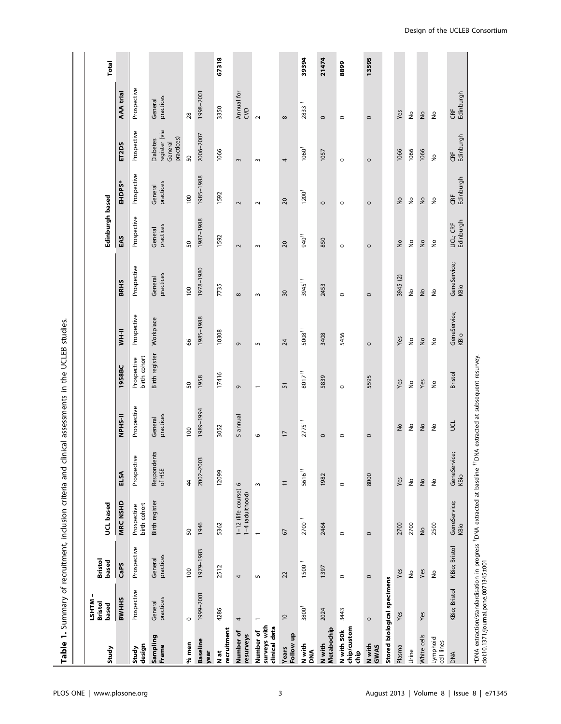| Study                                      | -1<br>LSHTM<br>Bristol<br>based | <b>Bristol</b><br>based    | UCL based                               |                                                                                                                                                          |                      |                             |                          |                               | Edinburgh based            |                      |                                                           |                            | Total |
|--------------------------------------------|---------------------------------|----------------------------|-----------------------------------------|----------------------------------------------------------------------------------------------------------------------------------------------------------|----------------------|-----------------------------|--------------------------|-------------------------------|----------------------------|----------------------|-----------------------------------------------------------|----------------------------|-------|
|                                            | <b>BWHHS</b>                    | CaPS                       | <b>MRC NSHD</b>                         | ELSA                                                                                                                                                     | <b>IFSHSN</b>        | 1958BC                      | <b>II-HM</b>             | <b>BRHS</b>                   | EAS                        | <b>EHDPS*</b>        | ET2DS                                                     | AAA trial                  |       |
| design<br>Study                            | Prospective                     | Prospective                | birth cohort<br>Prospective             | ଚି<br>Prospectiv                                                                                                                                         | Prospective          | birth cohort<br>Prospective | Prospective              | Prospective                   | Prospective                | Prospective          | Prospective                                               | Prospective                |       |
| Sampling<br>Frame                          | practices<br>General            | practices<br>General       | Birth register                          | Respondents<br>of HSE                                                                                                                                    | practices<br>General | Birth register              | Workplace                | practices<br>General          | practices<br>General       | practices<br>General | register (via<br>practices)<br><b>Diabetes</b><br>General | practices<br>General       |       |
| % men                                      | $\circ$                         | 100                        | 50                                      | $\ddot{4}$                                                                                                                                               | 100                  | 50                          | 8                        | 100                           | 50                         | 100                  | $50\,$                                                    | 28                         |       |
| <b>Baseline</b><br>year                    | 1999-2001                       | 1979-1983                  | 1946                                    | 2002-2003                                                                                                                                                | 1989-1994            | 1958                        | 1985-1988                | 1978-1980                     | 1987-1988                  | 1985-1988            | 2006-2007                                                 | 1998-2001                  |       |
| recruitment<br>$\frac{1}{N}$               | 4286                            | 2512                       | 5362                                    | 12099                                                                                                                                                    | 3052                 | 17416                       | 10308                    | 7735                          | 1592                       | 1592                 | 1066                                                      | 3350                       | 67318 |
| Number of<br>resurveys                     | 4                               | 4                          | 1-12 (life course) 6<br>1-4 (adulthood) |                                                                                                                                                          | 5 annual             | G                           | G                        | $\infty$                      | $\sim$                     | $\sim$               | 3                                                         | Annual for<br>CVD          |       |
| surveys with<br>clinical data<br>Number of |                                 | S                          | $\overline{ }$                          | $\mathsf{S}$                                                                                                                                             | $\circ$              | $\overline{ }$              | S                        | $\sim$                        | $\sim$                     | $\sim$               | $\sim$                                                    | $\sim$                     |       |
| Follow up<br>Years                         | $\approx$                       | 22                         | 67                                      | $\equiv$                                                                                                                                                 | $\overline{1}$       | 51                          | 24                       | $\approx$                     | 20                         | 20                   | 4                                                         | $\infty$                   |       |
| N with<br><b>ANO</b>                       | 3800 <sup>†</sup>               | $1500^{\dagger\dagger}$    | 2700 <sup>††</sup>                      | 5616 <sup>††</sup>                                                                                                                                       | $2775^{11}$          | $8017^{\dagger\dagger}$     | $5008^{+\dagger}$        | 3945 <sup>††</sup>            | 940 <sup>††</sup>          | $1200^{\dagger}$     | $1060^\dagger$                                            | $2833^{ \dagger\dagger}$   | 39394 |
| Metabochip<br>N with                       | 2024                            | 1397                       | 2464                                    | 1982                                                                                                                                                     | $\circ$              | 5839                        | 3408                     | 2453                          | 850                        | $\circ$              | 1057                                                      | $\circ$                    | 21474 |
| chip/custom<br>N with 50k<br>die           | 3443                            | $\circ$                    | $\circ$                                 | $\circ$                                                                                                                                                  | $\circ$              | $\circ$                     | 5456                     | $\circ$                       | $\circ$                    | $\circ$              | $\circ$                                                   | $\circ$                    | 8899  |
| N with<br>GWAS                             | $\circ$                         | $\circ$                    | $\circ$                                 | 8000                                                                                                                                                     | $\circ$              | 5595                        | $\circ$                  | $\circ$                       | $\circ$                    | $\circ$              | $\circ$                                                   | $\circ$                    | 13595 |
|                                            | Stored biological specimens     |                            |                                         |                                                                                                                                                          |                      |                             |                          |                               |                            |                      |                                                           |                            |       |
| Plasma                                     | Yes                             | Yes                        | 2700                                    | Yes                                                                                                                                                      | $\frac{1}{2}$        | Yes                         | Yes                      | 3945 (2)                      | $\geq$                     | $\frac{1}{2}$        | 1066                                                      | Yes                        |       |
| Urine                                      |                                 | $\frac{\circ}{2}$          | 2700                                    | $\stackrel{\mathtt{o}}{z}$                                                                                                                               | $\frac{1}{2}$        | $\hat{\mathsf{z}}$          | $\stackrel{\circ}{\geq}$ | $\stackrel{\mathtt{o}}{\geq}$ | $\stackrel{\mathtt{o}}{z}$ | $\hat{\mathsf{z}}$   | 1066                                                      | $\stackrel{\mathtt{o}}{z}$ |       |
| White cells                                | Yes                             | Yes                        | $\frac{1}{2}$                           | $\stackrel{\mathtt{o}}{\geq}$                                                                                                                            | $\frac{1}{2}$        | Yes                         | ş                        | ş                             | ş                          | ş                    | 1066                                                      | $\frac{1}{2}$              |       |
| Lymphoid<br>cell lines                     |                                 | $\stackrel{\mathtt{o}}{z}$ | 2500                                    | $\hat{\mathsf{z}}$                                                                                                                                       | $\frac{1}{2}$        | ş                           | ş                        | ş                             | $\frac{1}{2}$              | ş                    | ş                                                         | $\frac{1}{2}$              |       |
| <b>DNA</b>                                 | KBio; Bristol                   | KBio; Bristol              | GeneService;<br>KBio                    | ice;<br>GeneServic<br>KBio                                                                                                                               | $\vec{p}$            | <b>Bristol</b>              | GeneService;<br>KBio     | GeneService;<br>KBio          | Edinburgh<br>UCL; CRF      | Edinburgh<br>CRF     | Edinburgh<br>CRF                                          | Edinburgh<br>CRF           |       |
|                                            |                                 |                            |                                         | *DNA extraction/standardisation in progress "DNA extracted at baseline "TDNA extracted at subsequent resurvey.<br> doi:10.1371/journal.pone.0071345.t001 |                      |                             |                          |                               |                            |                      |                                                           |                            |       |

Table 1. Summary of recruitment, inclusion criteria and clinical assessments in the UCLEB studies. Table 1. Summary of recruitment, inclusion criteria and clinical assessments in the UCLEB studies.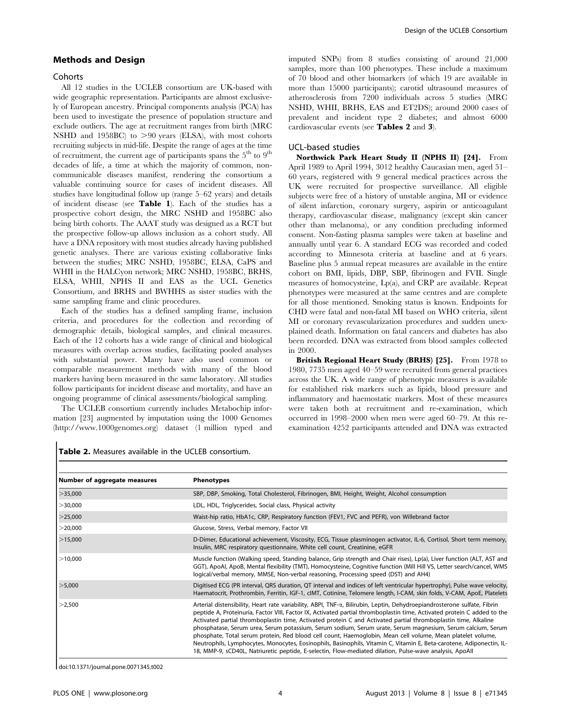# Methods and Design

#### **Cohorts**

All 12 studies in the UCLEB consortium are UK-based with wide geographic representation. Participants are almost exclusively of European ancestry. Principal components analysis (PCA) has been used to investigate the presence of population structure and exclude outliers. The age at recruitment ranges from birth (MRC NSHD and 1958BC) to  $>90$  years (ELSA), with most cohorts recruiting subjects in mid-life. Despite the range of ages at the time of recruitment, the current age of participants spans the  $5<sup>th</sup>$  to  $9<sup>th</sup>$ decades of life, a time at which the majority of common, noncommunicable diseases manifest, rendering the consortium a valuable continuing source for cases of incident diseases. All studies have longitudinal follow up (range 5–62 years) and details of incident disease (see Table 1). Each of the studies has a prospective cohort design, the MRC NSHD and 1958BC also being birth cohorts. The AAAT study was designed as a RCT but the prospective follow-up allows inclusion as a cohort study. All have a DNA repository with most studies already having published genetic analyses. There are various existing collaborative links between the studies; MRC NSHD, 1958BC, ELSA, CaPS and WHII in the HALCyon network; MRC NSHD, 1958BC, BRHS, ELSA, WHII, NPHS II and EAS as the UCL Genetics Consortium, and BRHS and BWHHS as sister studies with the same sampling frame and clinic procedures.

Each of the studies has a defined sampling frame, inclusion criteria, and procedures for the collection and recording of demographic details, biological samples, and clinical measures. Each of the 12 cohorts has a wide range of clinical and biological measures with overlap across studies, facilitating pooled analyses with substantial power. Many have also used common or comparable measurement methods with many of the blood markers having been measured in the same laboratory. All studies follow participants for incident disease and mortality, and have an ongoing programme of clinical assessments/biological sampling.

The UCLEB consortium currently includes Metabochip information [23] augmented by imputation using the 1000 Genomes (http://www.1000genomes.org) dataset (1 million typed and imputed SNPs) from 8 studies consisting of around 21,000 samples, more than 100 phenotypes. These include a maximum of 70 blood and other biomarkers (of which 19 are available in more than 15000 participants); carotid ultrasound measures of atherosclerosis from 7200 individuals across 5 studies (MRC NSHD, WHII, BRHS, EAS and ET2DS); around 2000 cases of prevalent and incident type 2 diabetes; and almost 6000 cardiovascular events (see Tables 2 and 3).

#### UCL-based studies

Northwick Park Heart Study II (NPHS II) [24]. From April 1989 to April 1994, 3012 healthy Caucasian men, aged 51– 60 years, registered with 9 general medical practices across the UK were recruited for prospective surveillance. All eligible subjects were free of a history of unstable angina, MI or evidence of silent infarction, coronary surgery, aspirin or anticoagulant therapy, cardiovascular disease, malignancy (except skin cancer other than melanoma), or any condition precluding informed consent. Non-fasting plasma samples were taken at baseline and annually until year 6. A standard ECG was recorded and coded according to Minnesota criteria at baseline and at 6 years. Baseline plus 5 annual repeat measures are available in the entire cohort on BMI, lipids, DBP, SBP, fibrinogen and FVII. Single measures of homocysteine, Lp(a), and CRP are available. Repeat phenotypes were measured at the same centres and are complete for all those mentioned. Smoking status is known. Endpoints for CHD were fatal and non-fatal MI based on WHO criteria, silent MI or coronary revascularization procedures and sudden unexplained death. Information on fatal cancers and diabetes has also been recorded. DNA was extracted from blood samples collected in 2000.

British Regional Heart Study (BRHS) [25]. From 1978 to 1980, 7735 men aged 40–59 were recruited from general practices across the UK. A wide range of phenotypic measures is available for established risk markers such as lipids, blood pressure and inflammatory and haemostatic markers. Most of these measures were taken both at recruitment and re-examination, which occurred in 1998–2000 when men were aged 60–79. At this reexamination 4252 participants attended and DNA was extracted

| Number of aggregate measures | <b>Phenotypes</b>                                                                                                                                                                                                                                                                                                                                                                                                                                                                                                                                                                                                                                                                                                                                                                                                                            |
|------------------------------|----------------------------------------------------------------------------------------------------------------------------------------------------------------------------------------------------------------------------------------------------------------------------------------------------------------------------------------------------------------------------------------------------------------------------------------------------------------------------------------------------------------------------------------------------------------------------------------------------------------------------------------------------------------------------------------------------------------------------------------------------------------------------------------------------------------------------------------------|
| $>$ 35,000                   | SBP, DBP, Smoking, Total Cholesterol, Fibrinogen, BMI, Height, Weight, Alcohol consumption                                                                                                                                                                                                                                                                                                                                                                                                                                                                                                                                                                                                                                                                                                                                                   |
| $>$ 30,000                   | LDL, HDL, Triglycerides, Social class, Physical activity                                                                                                                                                                                                                                                                                                                                                                                                                                                                                                                                                                                                                                                                                                                                                                                     |
| $>$ 25,000                   | Waist-hip ratio, HbA1c, CRP, Respiratory function (FEV1, FVC and PEFR), von Willebrand factor                                                                                                                                                                                                                                                                                                                                                                                                                                                                                                                                                                                                                                                                                                                                                |
| $>$ 20,000                   | Glucose, Stress, Verbal memory, Factor VII                                                                                                                                                                                                                                                                                                                                                                                                                                                                                                                                                                                                                                                                                                                                                                                                   |
| >15,000                      | D-Dimer, Educational achievement, Viscosity, ECG, Tissue plasminogen activator, IL-6, Cortisol, Short term memory,<br>Insulin, MRC respiratory questionnaire, White cell count, Creatinine, eGFR                                                                                                                                                                                                                                                                                                                                                                                                                                                                                                                                                                                                                                             |
| >10,000                      | Muscle function (Walking speed, Standing balance, Grip strength and Chair rises), Lp(a), Liver function (ALT, AST and<br>GGT), ApoAI, ApoB, Mental flexibility (TMT), Homocysteine, Cognitive function (Mill Hill VS, Letter search/cancel, WMS<br>logical/verbal memory, MMSE, Non-verbal reasoning, Processing speed (DST) and AH4)                                                                                                                                                                                                                                                                                                                                                                                                                                                                                                        |
| $>$ 5,000                    | Digitised ECG (PR interval, QRS duration, QT interval and indices of left ventricular hypertrophy), Pulse wave velocity,<br>Haematocrit, Prothrombin, Ferritin, IGF-1, cIMT, Cotinine, Telomere length, I-CAM, skin folds, V-CAM, ApoE, Platelets                                                                                                                                                                                                                                                                                                                                                                                                                                                                                                                                                                                            |
| >2,500                       | Arterial distensibility, Heart rate variability, ABPI, TNF- $\alpha$ , Bilirubin, Leptin, Dehydroepiandrosterone sulfate, Fibrin<br>peptide A, Proteinuria, Factor VIII, Factor IX, Activated partial thromboplastin time, Activated protein C added to the<br>Activated partial thromboplastin time, Activated protein C and Activated partial thromboplastin time, Alkaline<br>phosphatase, Serum urea, Serum potassium, Serum sodium, Serum urate, Serum magnesium, Serum calcium, Serum<br>phosphate, Total serum protein, Red blood cell count, Haemoglobin, Mean cell volume, Mean platelet volume,<br>Neutrophils, Lymphocytes, Monocytes, Eosinophils, Basinophils, Vitamin C, Vitamin E, Beta-carotene, Adiponectin, IL-<br>18, MMP-9, sCD40L, Natriuretic peptide, E-selectin, Flow-mediated dilation, Pulse-wave analysis, ApoAll |

Table 2. Measures available in the UCLEB consortium.

doi:10.1371/journal.pone.0071345.t002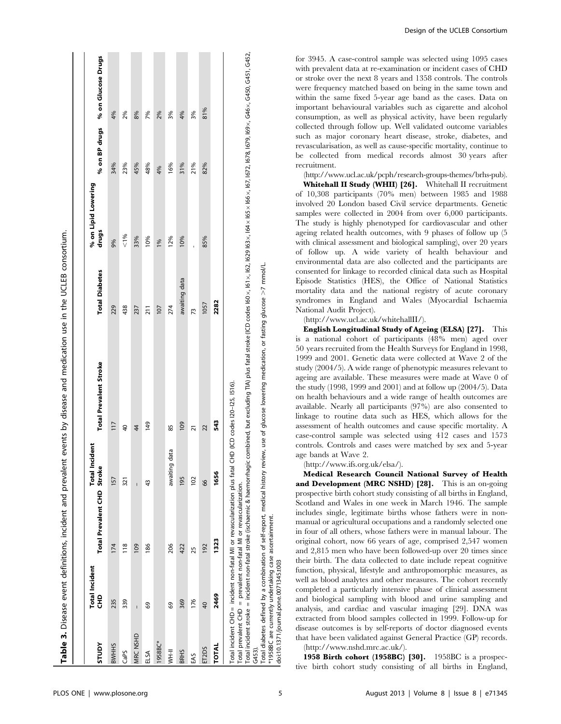| <b>Adnls</b> | <b>Total Incident</b><br>문 | Total Prevalent CHD Stroke                                                                                                                      | <b>Total Incident</b> | <b>Total Prevalent Stroke</b>                                                                                                                                                                                                                                                   | <b>Total Diabetes</b> | % on Lipid Lowering<br>drugs | % on BP drugs | % on Glucose Drugs |
|--------------|----------------------------|-------------------------------------------------------------------------------------------------------------------------------------------------|-----------------------|---------------------------------------------------------------------------------------------------------------------------------------------------------------------------------------------------------------------------------------------------------------------------------|-----------------------|------------------------------|---------------|--------------------|
| <b>BWHHS</b> | 235                        | 174                                                                                                                                             | 157                   | 117                                                                                                                                                                                                                                                                             | 229                   | 9%                           | 34%           | 4%                 |
| CaPS         | 339                        | $\frac{8}{1}$                                                                                                                                   | 321                   | $\overline{40}$                                                                                                                                                                                                                                                                 | 438                   | & 1%                         | 23%           | 2%                 |
| MRC NSHD     | $\overline{1}$             | 109                                                                                                                                             | Ī                     | 44                                                                                                                                                                                                                                                                              | 237                   | 33%                          | 45%           | 8%                 |
| ELSA         | 69                         | 186                                                                                                                                             | 43                    | 149                                                                                                                                                                                                                                                                             | $\overline{211}$      | 10%                          | 48%           | 7%                 |
| 1958BC*      |                            |                                                                                                                                                 |                       |                                                                                                                                                                                                                                                                                 | 107                   | 1%                           | 4%            | 2%                 |
| <b>HHHI</b>  | 69                         | 206                                                                                                                                             | data<br>awaiting      | 85                                                                                                                                                                                                                                                                              | 274                   | 12%                          | 16%           | 3%                 |
| <b>BRHS</b>  | 369                        | 422                                                                                                                                             | 195                   | 109                                                                                                                                                                                                                                                                             | awaiting data         | 10%                          | 31%           | 4%                 |
| EAS          | 176                        | 25                                                                                                                                              | 102                   | ភ                                                                                                                                                                                                                                                                               | $\overline{73}$       |                              | 21%           | 3%                 |
| ET2DS        | $\overline{40}$            | 192                                                                                                                                             | 66                    | 22                                                                                                                                                                                                                                                                              | 1057                  | 85%                          | 82%           | 81%                |
| <b>TOTAL</b> | 2469                       | 1323                                                                                                                                            | 1656                  | 543                                                                                                                                                                                                                                                                             | 2282                  |                              |               |                    |
| G453)        |                            | Total incident CHD= incident non-fatal MI or revascularization plus fatal<br>Total prevalent CHD = prevalent non-fatal MI or revascularization. |                       | $\lceil$ otal incident stroke = incident non-fatal stroke (ischaemic & haemorrhagic combined, but excluding $\lceil\ln\right\rceil$ plus fatal stroke (ICD codes 160 x, 161 x, 162 x, 164 x 164 x, 167, 1678, 1678, 1678, 169 x, 0445, 16452,<br>CHD (ICD codes I20-I25, I516). |                       |                              |               |                    |

Total diabetes defined by a combination of self-report, medical history review, use of glucose lowering medication, or fasting glucose >7 mmo//L.<br>\*1958BC are currently undertaking case ascertainment.<br>doi:10.1371/journal.po  $>7$  mmol/L. Total diabetes defined by a combination of self-report, medical history review, use of glucose lowering medication, or fasting glucose \*1958BC are currently undertaking case ascertainment.

doi:10.1371/journal.pone.0071345.t003

for 3945. A case-control sample was selected using 1095 cases with prevalent data at re-examination or incident cases of CHD or stroke over the next 8 years and 1358 controls. The controls were frequency matched based on being in the same town and within the same fixed 5-year age band as the cases. Data on important behavioural variables such as cigarette and alcohol consumption, as well as physical activity, have been regularly collected through follow up. Well validated outcome variables such as major coronary heart disease, stroke, diabetes, and revascularisation, as well as cause-specific mortality, continue to be collected from medical records almost 30 years after recruitment.

(http://www.ucl.ac.uk/pcph/research-groups-themes/brhs-pub).

Whitehall II Study (WHII) [26]. Whitehall II recruitment of 10,308 participants (70% men) between 1985 and 1988 involved 20 London based Civil service departments. Genetic samples were collected in 2004 from over 6,000 participants. The study is highly phenotyped for cardiovascular and other ageing related health outcomes, with 9 phases of follow up (5 with clinical assessment and biological sampling), over 20 years of follow up. A wide variety of health behaviour and environmental data are also collected and the participants are consented for linkage to recorded clinical data such as Hospital Episode Statistics (HES), the Office of National Statistics mortality data and the national registry of acute coronary syndromes in England and Wales (Myocardial Ischaemia National Audit Project).

(http://www.ucl.ac.uk/whitehallII/).

English Longitudinal Study of Ageing (ELSA) [27]. This is a national cohort of participants (48% men) aged over 50 years recruited from the Health Surveys for England in 1998, 1999 and 2001. Genetic data were collected at Wave 2 of the study (2004/5). A wide range of phenotypic measures relevant to ageing are available. These measures were made at Wave 0 of the study (1998, 1999 and 2001) and at follow up (2004/5). Data on health behaviours and a wide range of health outcomes are available. Nearly all participants (97%) are also consented to linkage to routine data such as HES, which allows for the assessment of health outcomes and cause specific mortality. A case-control sample was selected using 412 cases and 1573 controls. Controls and cases were matched by sex and 5-year age bands at Wave 2.

(http://www.ifs.org.uk/elsa/).

Medical Research Council National Survey of Health and Development (MRC NSHD) [28]. This is an on-going prospective birth cohort study consisting of all births in England, Scotland and Wales in one week in March 1946. The sample includes single, legitimate births whose fathers were in nonmanual or agricultural occupations and a randomly selected one in four of all others, whose fathers were in manual labour. The original cohort, now 66 years of age, comprised 2,547 women and 2,815 men who have been followed-up over 20 times since their birth. The data collected to date include repeat cognitive function, physical, lifestyle and anthropomorphic measures, as well as blood analytes and other measures. The cohort recently completed a particularly intensive phase of clinical assessment and biological sampling with blood and urine sampling and analysis, and cardiac and vascular imaging [29]. DNA was extracted from blood samples collected in 1999. Follow-up for disease outcomes is by self-reports of doctor diagnosed events that have been validated against General Practice (GP) records. (http://www.nshd.mrc.ac.uk/).

1958 Birth cohort (1958BC) [30]. 1958BC is a prospective birth cohort study consisting of all births in England,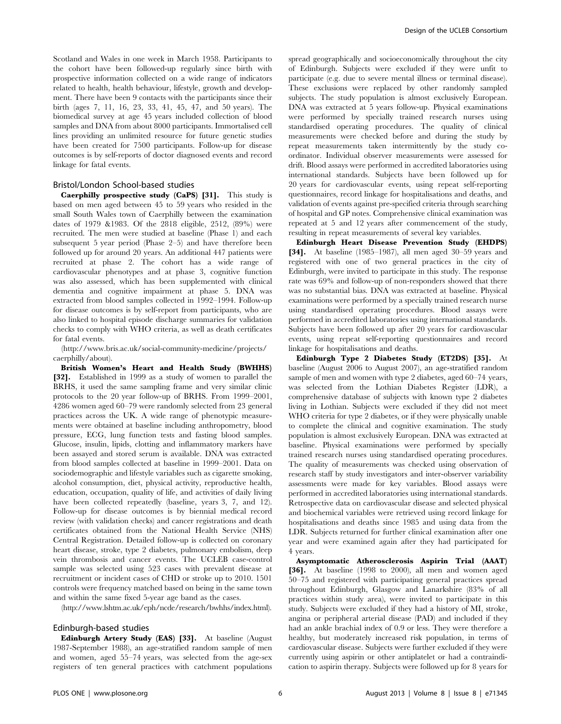Scotland and Wales in one week in March 1958. Participants to the cohort have been followed-up regularly since birth with prospective information collected on a wide range of indicators related to health, health behaviour, lifestyle, growth and development. There have been 9 contacts with the participants since their birth (ages 7, 11, 16, 23, 33, 41, 45, 47, and 50 years). The biomedical survey at age 45 years included collection of blood samples and DNA from about 8000 participants. Immortalised cell lines providing an unlimited resource for future genetic studies have been created for 7500 participants. Follow-up for disease outcomes is by self-reports of doctor diagnosed events and record linkage for fatal events.

#### Bristol/London School-based studies

Caerphilly prospective study (CaPS) [31]. This study is based on men aged between 45 to 59 years who resided in the small South Wales town of Caerphilly between the examination dates of 1979 &1983. Of the 2818 eligible, 2512, (89%) were recruited. The men were studied at baseline (Phase 1) and each subsequent 5 year period (Phase 2–5) and have therefore been followed up for around 20 years. An additional 447 patients were recruited at phase 2. The cohort has a wide range of cardiovascular phenotypes and at phase 3, cognitive function was also assessed, which has been supplemented with clinical dementia and cognitive impairment at phase 5. DNA was extracted from blood samples collected in 1992–1994. Follow-up for disease outcomes is by self-report from participants, who are also linked to hospital episode discharge summaries for validation checks to comply with WHO criteria, as well as death certificates for fatal events.

(http://www.bris.ac.uk/social-community-medicine/projects/ caerphilly/about).

British Women's Heart and Health Study (BWHHS) [32]. Established in 1999 as a study of women to parallel the BRHS, it used the same sampling frame and very similar clinic protocols to the 20 year follow-up of BRHS. From 1999–2001, 4286 women aged 60–79 were randomly selected from 23 general practices across the UK. A wide range of phenotypic measurements were obtained at baseline including anthropometry, blood pressure, ECG, lung function tests and fasting blood samples. Glucose, insulin, lipids, clotting and inflammatory markers have been assayed and stored serum is available. DNA was extracted from blood samples collected at baseline in 1999–2001. Data on sociodemographic and lifestyle variables such as cigarette smoking, alcohol consumption, diet, physical activity, reproductive health, education, occupation, quality of life, and activities of daily living have been collected repeatedly (baseline, years 3, 7, and 12). Follow-up for disease outcomes is by biennial medical record review (with validation checks) and cancer registrations and death certificates obtained from the National Health Service (NHS) Central Registration. Detailed follow-up is collected on coronary heart disease, stroke, type 2 diabetes, pulmonary embolism, deep vein thrombosis and cancer events. The UCLEB case-control sample was selected using 523 cases with prevalent disease at recruitment or incident cases of CHD or stroke up to 2010. 1501 controls were frequency matched based on being in the same town and within the same fixed 5-year age band as the cases.

(http://www.lshtm.ac.uk/eph/ncde/research/bwhhs/index.html).

#### Edinburgh-based studies

Edinburgh Artery Study (EAS) [33]. At baseline (August 1987-September 1988), an age-stratified random sample of men and women, aged 55–74 years, was selected from the age-sex registers of ten general practices with catchment populations spread geographically and socioeconomically throughout the city of Edinburgh. Subjects were excluded if they were unfit to participate (e.g. due to severe mental illness or terminal disease). These exclusions were replaced by other randomly sampled subjects. The study population is almost exclusively European. DNA was extracted at 5 years follow-up. Physical examinations were performed by specially trained research nurses using standardised operating procedures. The quality of clinical measurements were checked before and during the study by repeat measurements taken intermittently by the study coordinator. Individual observer measurements were assessed for drift. Blood assays were performed in accredited laboratories using international standards. Subjects have been followed up for 20 years for cardiovascular events, using repeat self-reporting questionnaires, record linkage for hospitalisations and deaths, and validation of events against pre-specified criteria through searching of hospital and GP notes. Comprehensive clinical examination was repeated at 5 and 12 years after commencement of the study, resulting in repeat measurements of several key variables.

Edinburgh Heart Disease Prevention Study (EHDPS) [34]. At baseline (1985–1987), all men aged 30–59 years and registered with one of two general practices in the city of Edinburgh, were invited to participate in this study. The response rate was 69% and follow-up of non-responders showed that there was no substantial bias. DNA was extracted at baseline. Physical examinations were performed by a specially trained research nurse using standardised operating procedures. Blood assays were performed in accredited laboratories using international standards. Subjects have been followed up after 20 years for cardiovascular events, using repeat self-reporting questionnaires and record linkage for hospitalisations and deaths.

Edinburgh Type 2 Diabetes Study (ET2DS) [35]. At baseline (August 2006 to August 2007), an age-stratified random sample of men and women with type 2 diabetes, aged 60–74 years, was selected from the Lothian Diabetes Register (LDR), a comprehensive database of subjects with known type 2 diabetes living in Lothian. Subjects were excluded if they did not meet WHO criteria for type 2 diabetes, or if they were physically unable to complete the clinical and cognitive examination. The study population is almost exclusively European. DNA was extracted at baseline. Physical examinations were performed by specially trained research nurses using standardised operating procedures. The quality of measurements was checked using observation of research staff by study investigators and inter-observer variability assessments were made for key variables. Blood assays were performed in accredited laboratories using international standards. Retrospective data on cardiovascular disease and selected physical and biochemical variables were retrieved using record linkage for hospitalisations and deaths since 1985 and using data from the LDR. Subjects returned for further clinical examination after one year and were examined again after they had participated for 4 years.

Asymptomatic Atherosclerosis Aspirin Trial (AAAT) [36]. At baseline (1998 to 2000), all men and women aged 50–75 and registered with participating general practices spread throughout Edinburgh, Glasgow and Lanarkshire (83% of all practices within study area), were invited to participate in this study. Subjects were excluded if they had a history of MI, stroke, angina or peripheral arterial disease (PAD) and included if they had an ankle brachial index of 0.9 or less. They were therefore a healthy, but moderately increased risk population, in terms of cardiovascular disease. Subjects were further excluded if they were currently using aspirin or other antiplatelet or had a contraindication to aspirin therapy. Subjects were followed up for 8 years for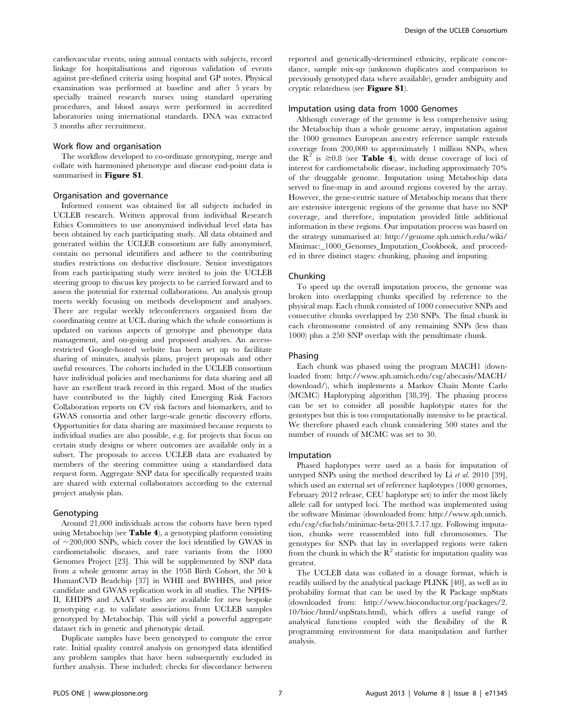cardiovascular events, using annual contacts with subjects, record linkage for hospitalisations and rigorous validation of events against pre-defined criteria using hospital and GP notes. Physical examination was performed at baseline and after 5 years by specially trained research nurses using standard operating procedures, and blood assays were performed in accredited laboratories using international standards. DNA was extracted 3 months after recruitment.

#### Work flow and organisation

The workflow developed to co-ordinate genotyping, merge and collate with harmonised phenotype and disease end-point data is summarised in Figure S1.

#### Organisation and governance

Informed consent was obtained for all subjects included in UCLEB research. Written approval from individual Research Ethics Committees to use anonymised individual level data has been obtained by each participating study. All data obtained and generated within the UCLEB consortium are fully anonymised, contain no personal identifiers and adhere to the contributing studies restrictions on deductive disclosure. Senior investigators from each participating study were invited to join the UCLEB steering group to discuss key projects to be carried forward and to assess the potential for external collaborations. An analysis group meets weekly focusing on methods development and analyses. There are regular weekly teleconferences organised from the coordinating centre at UCL during which the whole consortium is updated on various aspects of genotype and phenotype data management, and on-going and proposed analyses. An accessrestricted Google-hosted website has been set up to facilitate sharing of minutes, analysis plans, project proposals and other useful resources. The cohorts included in the UCLEB consortium have individual policies and mechanisms for data sharing and all have an excellent track record in this regard. Most of the studies have contributed to the highly cited Emerging Risk Factors Collaboration reports on CV risk factors and biomarkers, and to GWAS consortia and other large-scale genetic discovery efforts. Opportunities for data sharing are maximised because requests to individual studies are also possible, e.g. for projects that focus on certain study designs or where outcomes are available only in a subset. The proposals to access UCLEB data are evaluated by members of the steering committee using a standardised data request form. Aggregate SNP data for specifically requested traits are shared with external collaborators according to the external project analysis plan.

## Genotyping

Around 21,000 individuals across the cohorts have been typed using Metabochip (see Table 4), a genotyping platform consisting of  $\sim$ 200,000 SNPs, which cover the loci identified by GWAS in cardiometabolic diseases, and rare variants from the 1000 Genomes Project [23]. This will be supplemented by SNP data from a whole genome array in the 1958 Birth Cohort, the 50 k HumanCVD Beadchip [37] in WHII and BWHHS, and prior candidate and GWAS replication work in all studies. The NPHS-II, EHDPS and AAAT studies are available for new bespoke genotyping e.g. to validate associations from UCLEB samples genotyped by Metabochip. This will yield a powerful aggregate dataset rich in genetic and phenotypic detail.

Duplicate samples have been genotyped to compute the error rate. Initial quality control analysis on genotyped data identified any problem samples that have been subsequently excluded in further analysis. These included: checks for discordance between reported and genetically-determined ethnicity, replicate concordance, sample mix-up (unknown duplicates and comparison to previously genotyped data where available), gender ambiguity and cryptic relatedness (see Figure S1).

# Imputation using data from 1000 Genomes

Although coverage of the genome is less comprehensive using the Metabochip than a whole genome array, imputation against the 1000 genomes European ancestry reference sample extends coverage from 200,000 to approximately 1 million SNPs, when the  $R^2$  is  $\geq 0.8$  (see **Table 4**), with dense coverage of loci of interest for cardiometabolic disease, including approximately 70% of the druggable genome. Imputation using Metabochip data served to fine-map in and around regions covered by the array. However, the gene-centric nature of Metabochip means that there are extensive intergenic regions of the genome that have no SNP coverage, and therefore, imputation provided little additional information in these regions. Our imputation process was based on the strategy summarised at: http://genome.sph.umich.edu/wiki/ Minimac:  $1000$  Genomes Imputation Cookbook, and proceeded in three distinct stages: chunking, phasing and imputing.

#### Chunking

To speed up the overall imputation process, the genome was broken into overlapping chunks specified by reference to the physical map. Each chunk consisted of 1000 consecutive SNPs and consecutive chunks overlapped by 250 SNPs. The final chunk in each chromosome consisted of any remaining SNPs (less than 1000) plus a 250 SNP overlap with the penultimate chunk.

### Phasing

Each chunk was phased using the program MACH1 (downloaded from: http://www.sph.umich.edu/csg/abecasis/MACH/ download/), which implements a Markov Chain Monte Carlo (MCMC) Haplotyping algorithm [38,39]. The phasing process can be set to consider all possible haplotypic states for the genotypes but this is too computationally intensive to be practical. We therefore phased each chunk considering 500 states and the number of rounds of MCMC was set to 30.

#### Imputation

Phased haplotypes were used as a basis for imputation of untyped SNPs using the method described by Li et al. 2010 [39], which used an external set of reference haplotypes (1000 genomes, February 2012 release, CEU haplotype set) to infer the most likely allele call for untyped loci. The method was implemented using the software Minimac (downloaded from: http://www.sph.umich. edu/csg/cfuchsb/minimac-beta-2013.7.17.tgz. Following imputation, chunks were reassembled into full chromosomes. The genotypes for SNPs that lay in overlapped regions were taken from the chunk in which the  $\mathbb{R}^2$  statistic for imputation quality was greatest.

The UCLEB data was collated in a dosage format, which is readily utilised by the analytical package PLINK [40], as well as in probability format that can be used by the R Package snpStats (downloaded from: http://www.bioconductor.org/packages/2. 10/bioc/html/snpStats.html), which offers a useful range of analytical functions coupled with the flexibility of the R programming environment for data manipulation and further analysis.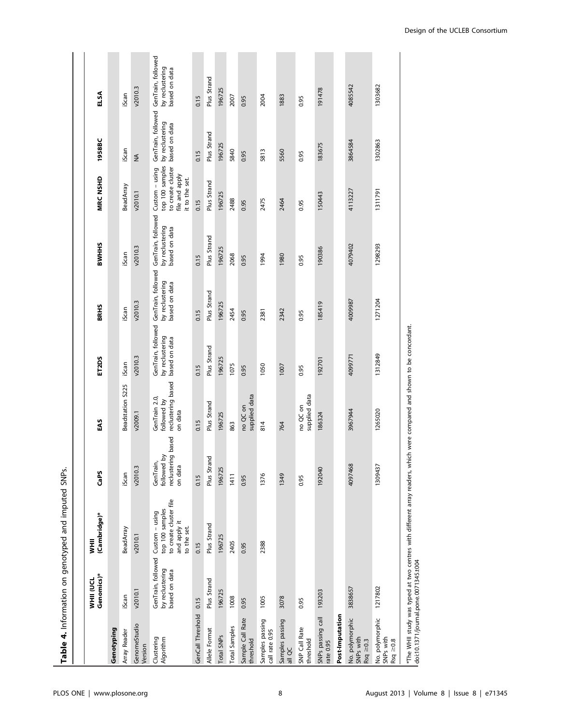|                                               |                                                        | Table 4. Information on genotyped and imputed SNPs.                                                                    |                                                           |                                                               |                                                        |                                                        |                                                        |                                                                                            |                                                        |                                                        |
|-----------------------------------------------|--------------------------------------------------------|------------------------------------------------------------------------------------------------------------------------|-----------------------------------------------------------|---------------------------------------------------------------|--------------------------------------------------------|--------------------------------------------------------|--------------------------------------------------------|--------------------------------------------------------------------------------------------|--------------------------------------------------------|--------------------------------------------------------|
|                                               | Genomics)*<br><b>MHII</b><br>EN                        | (Cambridge)*<br><b>WHII</b>                                                                                            | CaPS                                                      | EAS                                                           | ET <sub>2</sub> DS                                     | <b>BRHS</b>                                            | <b>BWHHS</b>                                           | <b>MRC NSHD</b>                                                                            | 1958BC                                                 | ELSA                                                   |
| Genotyping                                    |                                                        |                                                                                                                        |                                                           |                                                               |                                                        |                                                        |                                                        |                                                                                            |                                                        |                                                        |
| Array Reader                                  | iScan                                                  | BeadArray                                                                                                              | iScan                                                     | Beadstation S225                                              | iScan                                                  | iScan                                                  | iScan                                                  | <b>BeadArray</b>                                                                           | iScan                                                  | iScan                                                  |
| GenomeStudio<br>Version                       | v2010.1                                                | v2010.1                                                                                                                | v2010.3                                                   | v2009.1                                                       | v2010.3                                                | v2010.3                                                | v2010.3                                                | v2010.1                                                                                    | $\leq$                                                 | v2010.3                                                |
| Clustering<br>Algorithm                       | GenTrain, followed<br>by reclustering<br>based on data | to create cluster file<br>top 100 samples<br>Custom - using<br>and apply it<br>to the set.                             | reclustering based<br>followed by<br>GenTrain,<br>on data | reclustering based<br>GenTrain 2.0,<br>followed by<br>on data | GenTrain, followed<br>by reclustering<br>based on data | GenTrain, followed<br>by reclustering<br>based on data | GenTrain, followed<br>by reclustering<br>based on data | top 100 samples<br>to create cluster<br>Custom - using<br>file and apply<br>it to the set. | GenTrain, followed<br>by reclustering<br>based on data | GenTrain, followed<br>by reclustering<br>based on data |
| GenCall Threshold                             | 0.15                                                   | 0.15                                                                                                                   | 0.15                                                      | 0.15                                                          | 0.15                                                   | 0.15                                                   | 0.15                                                   | 0.15                                                                                       | 0.15                                                   | 0.15                                                   |
| Allele Format                                 | Plus Strand                                            | Plus Strand                                                                                                            | and<br>Plus Str                                           | Plus Strand                                                   | Plus Strand                                            | Plus Strand                                            | Plus Strand                                            | Plus Strand                                                                                | Plus Strand                                            | Plus Strand                                            |
| Total SNP <sub>S</sub>                        | 196725                                                 | 196725                                                                                                                 | 196725                                                    | 196725                                                        | 196725                                                 | 196725                                                 | 196725                                                 | 196725                                                                                     | 196725                                                 | 196725                                                 |
| <b>Total Samples</b>                          | 1008                                                   | 2405                                                                                                                   | 1411                                                      | 863                                                           | 1075                                                   | 2454                                                   | 2068                                                   | 2488                                                                                       | 5840                                                   | 2007                                                   |
| Sample Call Rate<br>threshold                 | 0.95                                                   | 0.95                                                                                                                   | 0.95                                                      | supplied data<br>no QC on                                     | 0.95                                                   | 0.95                                                   | 0.95                                                   | 0.95                                                                                       | 0.95                                                   | 0.95                                                   |
| Samples passing<br>call rate 0.95             | 1005                                                   | 2388                                                                                                                   | 1376                                                      | 814                                                           | 1050                                                   | 2381                                                   | 1994                                                   | 2475                                                                                       | 5813                                                   | 2004                                                   |
| Samples passing<br>all QC                     | 3078                                                   |                                                                                                                        | 1349                                                      | 764                                                           | 1007                                                   | 2342                                                   | 1980                                                   | 2464                                                                                       | 5560                                                   | 1883                                                   |
| SNP Call Rate<br>threshold                    | 0.95                                                   |                                                                                                                        | 0.95                                                      | supplied data<br>no QC on                                     | 0.95                                                   | 0.95                                                   | 0.95                                                   | 0.95                                                                                       | 0.95                                                   | 0.95                                                   |
| SNPs passing call<br>rate 0.95                | 193203                                                 |                                                                                                                        | 192040                                                    | 186324                                                        | 192701                                                 | 185419                                                 | 190386                                                 | 150443                                                                                     | 183675                                                 | 191478                                                 |
| Post-Imputation                               |                                                        |                                                                                                                        |                                                           |                                                               |                                                        |                                                        |                                                        |                                                                                            |                                                        |                                                        |
| No. polymorphic<br>SNPs with<br>$Rsq \ge 0.3$ | 3838657                                                |                                                                                                                        | 4097468                                                   | 3967944                                                       | 4099771                                                | 4009987                                                | 4079402                                                | 4113227                                                                                    | 3864584                                                | 4085542                                                |
| No. polymorphic<br>SNPs with<br>$Rsq \ge 0.8$ | 1217802                                                |                                                                                                                        | 130943                                                    | 1265020                                                       | 1312849                                                | 1271204                                                | 1298293                                                | 1311791                                                                                    | 1302863                                                | 1303682                                                |
|                                               | doi:10.1371/journal.pone.0071345.t004                  | *The WHII study was typed at two centres with different array readers, which were compared and shown to be concordant. |                                                           |                                                               |                                                        |                                                        |                                                        |                                                                                            |                                                        |                                                        |

Design of the UCLEB Consortium

 $\mathbf{r}$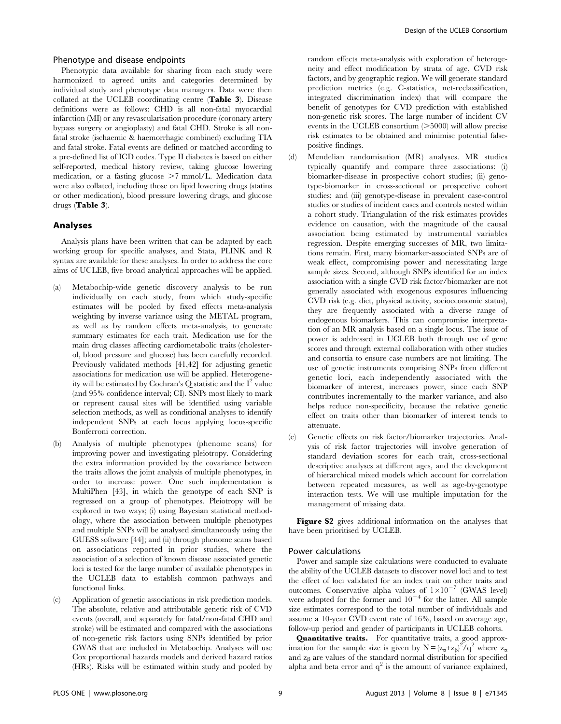# Phenotype and disease endpoints

Phenotypic data available for sharing from each study were harmonized to agreed units and categories determined by individual study and phenotype data managers. Data were then collated at the UCLEB coordinating centre (Table 3). Disease definitions were as follows: CHD is all non-fatal myocardial infarction (MI) or any revascularisation procedure (coronary artery bypass surgery or angioplasty) and fatal CHD. Stroke is all nonfatal stroke (ischaemic & haemorrhagic combined) excluding TIA and fatal stroke. Fatal events are defined or matched according to a pre-defined list of ICD codes. Type II diabetes is based on either self-reported, medical history review, taking glucose lowering medication, or a fasting glucose  $>7$  mmol/L. Medication data were also collated, including those on lipid lowering drugs (statins or other medication), blood pressure lowering drugs, and glucose drugs (Table 3).

# Analyses

Analysis plans have been written that can be adapted by each working group for specific analyses, and Stata, PLINK and R syntax are available for these analyses. In order to address the core aims of UCLEB, five broad analytical approaches will be applied.

- (a) Metabochip-wide genetic discovery analysis to be run individually on each study, from which study-specific estimates will be pooled by fixed effects meta-analysis weighting by inverse variance using the METAL program, as well as by random effects meta-analysis, to generate summary estimates for each trait. Medication use for the main drug classes affecting cardiometabolic traits (cholesterol, blood pressure and glucose) has been carefully recorded. Previously validated methods [41,42] for adjusting genetic associations for medication use will be applied. Heterogeneity will be estimated by Cochran's  $\overline{O}$  statistic and the  $I^2$  value (and 95% confidence interval; CI). SNPs most likely to mark or represent causal sites will be identified using variable selection methods, as well as conditional analyses to identify independent SNPs at each locus applying locus-specific Bonferroni correction.
- (b) Analysis of multiple phenotypes (phenome scans) for improving power and investigating pleiotropy. Considering the extra information provided by the covariance between the traits allows the joint analysis of multiple phenotypes, in order to increase power. One such implementation is MultiPhen [43], in which the genotype of each SNP is regressed on a group of phenotypes. Pleiotropy will be explored in two ways; (i) using Bayesian statistical methodology, where the association between multiple phenotypes and multiple SNPs will be analysed simultaneously using the GUESS software [44]; and (ii) through phenome scans based on associations reported in prior studies, where the association of a selection of known disease associated genetic loci is tested for the large number of available phenotypes in the UCLEB data to establish common pathways and functional links.
- (c) Application of genetic associations in risk prediction models. The absolute, relative and attributable genetic risk of CVD events (overall, and separately for fatal/non-fatal CHD and stroke) will be estimated and compared with the associations of non-genetic risk factors using SNPs identified by prior GWAS that are included in Metabochip. Analyses will use Cox proportional hazards models and derived hazard ratios (HRs). Risks will be estimated within study and pooled by

random effects meta-analysis with exploration of heterogeneity and effect modification by strata of age, CVD risk factors, and by geographic region. We will generate standard prediction metrics (e.g. C-statistics, net-reclassification, integrated discrimination index) that will compare the benefit of genotypes for CVD prediction with established non-genetic risk scores. The large number of incident CV events in the UCLEB consortium  $($ >5000) will allow precise risk estimates to be obtained and minimise potential falsepositive findings.

- (d) Mendelian randomisation (MR) analyses. MR studies typically quantify and compare three associations: (i) biomarker-disease in prospective cohort studies; (ii) genotype-biomarker in cross-sectional or prospective cohort studies; and (iii) genotype-disease in prevalent case-control studies or studies of incident cases and controls nested within a cohort study. Triangulation of the risk estimates provides evidence on causation, with the magnitude of the causal association being estimated by instrumental variables regression. Despite emerging successes of MR, two limitations remain. First, many biomarker-associated SNPs are of weak effect, compromising power and necessitating large sample sizes. Second, although SNPs identified for an index association with a single CVD risk factor/biomarker are not generally associated with exogenous exposures influencing CVD risk (e.g. diet, physical activity, socioeconomic status), they are frequently associated with a diverse range of endogenous biomarkers. This can compromise interpretation of an MR analysis based on a single locus. The issue of power is addressed in UCLEB both through use of gene scores and through external collaboration with other studies and consortia to ensure case numbers are not limiting. The use of genetic instruments comprising SNPs from different genetic loci, each independently associated with the biomarker of interest, increases power, since each SNP contributes incrementally to the marker variance, and also helps reduce non-specificity, because the relative genetic effect on traits other than biomarker of interest tends to attenuate.
- (e) Genetic effects on risk factor/biomarker trajectories. Analysis of risk factor trajectories will involve generation of standard deviation scores for each trait, cross-sectional descriptive analyses at different ages, and the development of hierarchical mixed models which account for correlation between repeated measures, as well as age-by-genotype interaction tests. We will use multiple imputation for the management of missing data.

Figure S2 gives additional information on the analyses that have been prioritised by UCLEB.

# Power calculations

Power and sample size calculations were conducted to evaluate the ability of the UCLEB datasets to discover novel loci and to test the effect of loci validated for an index trait on other traits and outcomes. Conservative alpha values of  $1\times10^{-7}$  (GWAS level) were adopted for the former and  $10^{-4}$  for the latter. All sample size estimates correspond to the total number of individuals and assume a 10-year CVD event rate of 16%, based on average age, follow-up period and gender of participants in UCLEB cohorts.

Quantitative traits. For quantitative traits, a good approximation for the sample size is given by  $N = (z_{\alpha} + z_{\beta})^2 / q^2$  where  $z_{\alpha}$ and  $z_\beta$  are values of the standard normal distribution for specified alpha and beta error and  $q^2$  is the amount of variance explained,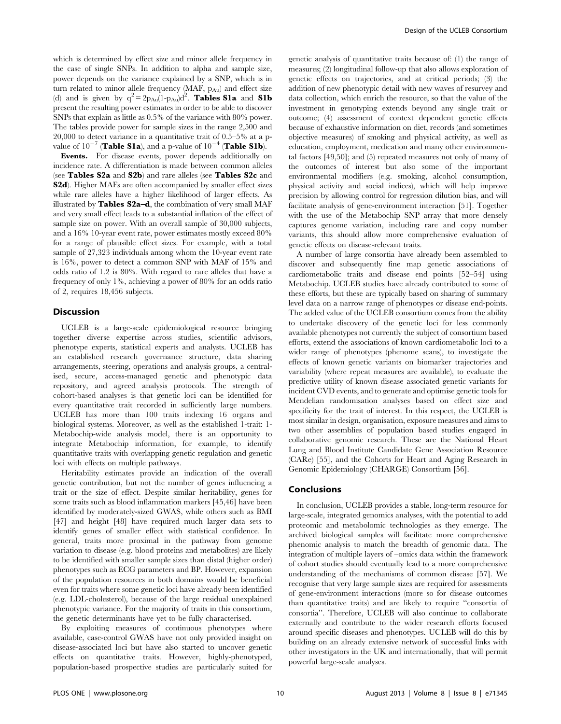which is determined by effect size and minor allele frequency in the case of single SNPs. In addition to alpha and sample size, power depends on the variance explained by a SNP, which is in turn related to minor allele frequency (MAF, pAu) and effect size (d) and is given by  $q^2 = 2p_{Au}(1-p_{Au})d^2$ . Tables S1a and S1b present the resulting power estimates in order to be able to discover SNPs that explain as little as 0.5% of the variance with 80% power. The tables provide power for sample sizes in the range 2,500 and 20,000 to detect variance in a quantitative trait of 0.5–5% at a pvalue of  $10^{-7}$  (Table S1a), and a p-value of  $10^{-4}$  (Table S1b).

Events. For disease events, power depends additionally on incidence rate. A differentiation is made between common alleles (see Tables S2a and S2b) and rare alleles (see Tables S2c and S2d). Higher MAFs are often accompanied by smaller effect sizes while rare alleles have a higher likelihood of larger effects. As illustrated by Tables S2a–d, the combination of very small MAF and very small effect leads to a substantial inflation of the effect of sample size on power. With an overall sample of 30,000 subjects, and a 16% 10-year event rate, power estimates mostly exceed 80% for a range of plausible effect sizes. For example, with a total sample of 27,323 individuals among whom the 10-year event rate is 16%, power to detect a common SNP with MAF of 15% and odds ratio of 1.2 is 80%. With regard to rare alleles that have a frequency of only 1%, achieving a power of 80% for an odds ratio of 2, requires 18,456 subjects.

#### **Discussion**

UCLEB is a large-scale epidemiological resource bringing together diverse expertise across studies, scientific advisors, phenotype experts, statistical experts and analysts. UCLEB has an established research governance structure, data sharing arrangements, steering, operations and analysis groups, a centralised, secure, access-managed genetic and phenotypic data repository, and agreed analysis protocols. The strength of cohort-based analyses is that genetic loci can be identified for every quantitative trait recorded in sufficiently large numbers. UCLEB has more than 100 traits indexing 16 organs and biological systems. Moreover, as well as the established 1-trait: 1- Metabochip-wide analysis model, there is an opportunity to integrate Metabochip information, for example, to identify quantitative traits with overlapping genetic regulation and genetic loci with effects on multiple pathways.

Heritability estimates provide an indication of the overall genetic contribution, but not the number of genes influencing a trait or the size of effect. Despite similar heritability, genes for some traits such as blood inflammation markers [45,46] have been identified by moderately-sized GWAS, while others such as BMI [47] and height [48] have required much larger data sets to identify genes of smaller effect with statistical confidence. In general, traits more proximal in the pathway from genome variation to disease (e.g. blood proteins and metabolites) are likely to be identified with smaller sample sizes than distal (higher order) phenotypes such as ECG parameters and BP. However, expansion of the population resources in both domains would be beneficial even for traits where some genetic loci have already been identified (e.g. LDL-cholesterol), because of the large residual unexplained phenotypic variance. For the majority of traits in this consortium, the genetic determinants have yet to be fully characterised.

By exploiting measures of continuous phenotypes where available, case-control GWAS have not only provided insight on disease-associated loci but have also started to uncover genetic effects on quantitative traits. However, highly-phenotyped, population-based prospective studies are particularly suited for

genetic analysis of quantitative traits because of: (1) the range of measures; (2) longitudinal follow-up that also allows exploration of genetic effects on trajectories, and at critical periods; (3) the addition of new phenotypic detail with new waves of resurvey and data collection, which enrich the resource, so that the value of the investment in genotyping extends beyond any single trait or outcome; (4) assessment of context dependent genetic effects because of exhaustive information on diet, records (and sometimes objective measures) of smoking and physical activity, as well as education, employment, medication and many other environmental factors [49,50]; and (5) repeated measures not only of many of the outcomes of interest but also some of the important environmental modifiers (e.g. smoking, alcohol consumption, physical activity and social indices), which will help improve precision by allowing control for regression dilution bias, and will facilitate analysis of gene-environment interaction [51]. Together with the use of the Metabochip SNP array that more densely captures genome variation, including rare and copy number variants, this should allow more comprehensive evaluation of genetic effects on disease-relevant traits.

A number of large consortia have already been assembled to discover and subsequently fine map genetic associations of cardiometabolic traits and disease end points [52–54] using Metabochip. UCLEB studies have already contributed to some of these efforts, but these are typically based on sharing of summary level data on a narrow range of phenotypes or disease end-points. The added value of the UCLEB consortium comes from the ability to undertake discovery of the genetic loci for less commonly available phenotypes not currently the subject of consortium based efforts, extend the associations of known cardiometabolic loci to a wider range of phenotypes (phenome scans), to investigate the effects of known genetic variants on biomarker trajectories and variability (where repeat measures are available), to evaluate the predictive utility of known disease associated genetic variants for incident CVD events, and to generate and optimise genetic tools for Mendelian randomisation analyses based on effect size and specificity for the trait of interest. In this respect, the UCLEB is most similar in design, organisation, exposure measures and aims to two other assemblies of population based studies engaged in collaborative genomic research. These are the National Heart Lung and Blood Institute Candidate Gene Association Resource (CARe) [55], and the Cohorts for Heart and Aging Research in Genomic Epidemiology (CHARGE) Consortium [56].

# Conclusions

In conclusion, UCLEB provides a stable, long-term resource for large-scale, integrated genomics analyses, with the potential to add proteomic and metabolomic technologies as they emerge. The archived biological samples will facilitate more comprehensive phenomic analysis to match the breadth of genomic data. The integration of multiple layers of –omics data within the framework of cohort studies should eventually lead to a more comprehensive understanding of the mechanisms of common disease [57]. We recognise that very large sample sizes are required for assessments of gene-environment interactions (more so for disease outcomes than quantitative traits) and are likely to require ''consortia of consortia''. Therefore, UCLEB will also continue to collaborate externally and contribute to the wider research efforts focused around specific diseases and phenotypes. UCLEB will do this by building on an already extensive network of successful links with other investigators in the UK and internationally, that will permit powerful large-scale analyses.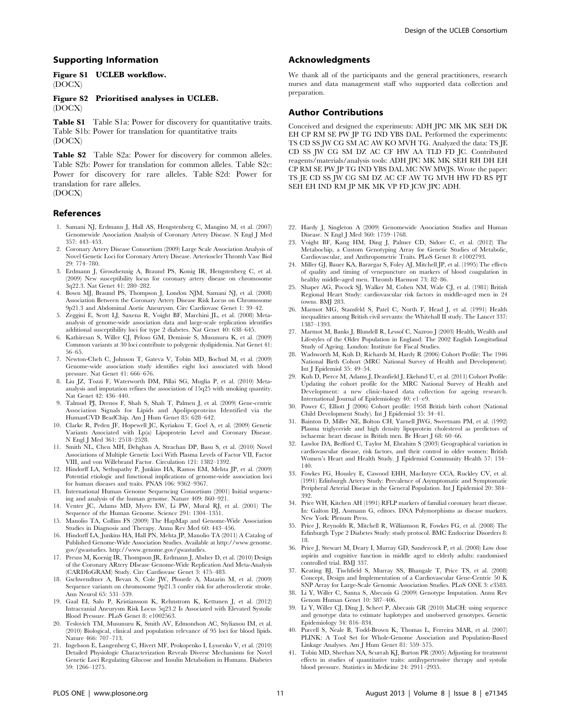### Supporting Information

### Figure S1 UCLEB workflow. (DOCX)

Figure S2 Prioritised analyses in UCLEB. (DOCX)

Table S1 Table S1a: Power for discovery for quantitative traits. Table S1b: Power for translation for quantitative traits (DOCX)

Table S2 Table S2a: Power for discovery for common alleles. Table S2b: Power for translation for common alleles. Table S2c: Power for discovery for rare alleles. Table S2d: Power for translation for rare alleles. (DOCX)

#### References

- 1. Samani NJ, Erdmann J, Hall AS, Hengstenberg C, Mangino M, et al. (2007) Genomewide Association Analysis of Coronary Artery Disease. N Engl J Med 357: 443–453.
- 2. Coronary Artery Disease Consortium (2009) Large Scale Association Analysis of Novel Genetic Loci for Coronary Artery Disease. Arterioscler Thromb Vasc Biol 29: 774–780.
- 3. Erdmann J, Groszhennig A, Braund PS, Konig IR, Hengstenberg C, et al. (2009) New susceptibility locus for coronary artery disease on chromosome 3q22.3. Nat Genet 41: 280–282.
- 4. Bown MJ, Braund PS, Thompson J, London NJM, Samani NJ, et al. (2008) Association Between the Coronary Artery Disease Risk Locus on Chromosome 9p21.3 and Abdominal Aortic Aneurysm. Circ Cardiovasc Genet 1: 39–42.
- 5. Zeggini E, Scott LJ, Saxena R, Voight BF, Marchini JL, et al. (2008) Metaanalysis of genome-wide association data and large-scale replication identifies additional susceptibility loci for type 2 diabetes. Nat Genet 40: 638–645.
- 6. Kathiresan S, Willer CJ, Peloso GM, Demissie S, Musunuru K, et al. (2009) Common variants at 30 loci contribute to polygenic dyslipidemia. Nat Genet 41: 56–65.
- 7. Newton-Cheh C, Johnson T, Gateva V, Tobin MD, Bochud M, et al. (2009) Genome-wide association study identifies eight loci associated with blood pressure. Nat Genet 41: 666–676.
- 8. Liu JZ, Tozzi F, Waterworth DM, Pillai SG, Muglia P, et al. (2010) Metaanalysis and imputation refines the association of 15q25 with smoking quantity. Nat Genet 42: 436–440.
- 9. Talmud PJ, Drenos F, Shah S, Shah T, Palmen J, et al. (2009) Gene-centric Association Signals for Lipids and Apolipoproteins Identified via the HumanCVD BeadChip. Am J Hum Genet 85: 628–642.
- 10. Clarke R, Peden JF, Hopewell JC, Kyriakou T, Goel A, et al. (2009) Genetic Variants Associated with Lp(a) Lipoprotein Level and Coronary Disease. N Engl J Med 361: 2518–2528.
- 11. Smith NL, Chen MH, Dehghan A, Strachan DP, Basu S, et al. (2010) Novel Associations of Multiple Genetic Loci With Plasma Levels of Factor VII, Factor VIII, and von Willebrand Factor. Circulation 121: 1382–1392.
- 12. Hindorff LA, Sethupathy P, Junkins HA, Ramos EM, Mehta JP, et al. (2009) Potential etiologic and functional implications of genome-wide association loci for human diseases and traits. PNAS 106: 9362–9367.
- 13. International Human Genome Sequencing Consortium (2001) Initial sequencing and analysis of the human genome. Nature 409: 860–921.
- 14. Venter JC, Adams MD, Myers EW, Li PW, Mural RJ, et al. (2001) The Sequence of the Human Genome. Science 291: 1304–1351.
- 15. Manolio TA, Collins FS (2009) The HapMap and Genome-Wide Association Studies in Diagnosis and Therapy. Annu Rev Med 60: 443–456.
- 16. Hindorff LA, Junkins HA, Hall PN, Mehta JP, Manolio TA (2011) A Catalog of Published Genome-Wide Association Studies. Available at http://www.genome. gov/gwastudies. http://www.genome.gov/gwastudies.
- 17. Preuss M, Koenig IR, Thompson JR, Erdmann J, Absher D, et al. (2010) Design of the Coronary ARtery DIsease Genome-Wide Replication And Meta-Analysis (CARDIoGRAM) Study. Circ Cardiovasc Genet 3: 475–483.
- 18. Gschwendtner A, Bevan S, Cole JW, Plourde A, Matarin M, et al. (2009) Sequence variants on chromosome 9p21.3 confer risk for atherosclerotic stroke. Ann Neurol 65: 531–539.
- 19. Gaal EI, Salo P, Kristiansson K, Rehnstrom K, Kettunen J, et al. (2012) Intracranial Aneurysm Risk Locus 5q23.2 Is Associated with Elevated Systolic Blood Pressure. PLoS Genet 8: e1002563.
- 20. Teslovich TM, Musunuru K, Smith AV, Edmondson AC, Stylianou IM, et al. (2010) Biological, clinical and population relevance of 95 loci for blood lipids. Nature 466: 707–713.
- 21. Ingelsson E, Langenberg C, Hivert MF, Prokopenko I, Lyssenko V, et al. (2010) Detailed Physiologic Characterization Reveals Diverse Mechanisms for Novel Genetic Loci Regulating Glucose and Insulin Metabolism in Humans. Diabetes 59: 1266–1275.

# Acknowledgments

We thank all of the participants and the general practitioners, research nurses and data management staff who supported data collection and preparation.

# Author Contributions

Conceived and designed the experiments: ADH JPC MK MK SEH DK EH CP RM SE PW JP TG IND YBS DAL. Performed the experiments: TS CD SS JW CG SM AC AW KO MVH TG. Analyzed the data: TS JE CD SS JW CG SM DZ AC CF HW AA TLD FD JC. Contributed reagents/materials/analysis tools: ADH JPC MK MK SEH RH DH EH CP RM SE PW JP TG IND YBS DAL MC NW MWJS. Wrote the paper: TS JE CD SS JW CG SM DZ AC CF AW TG MVH HW FD RS PJT SEH EH IND RM JP MK MK VP FD JCW JPC ADH.

- 22. Hardy J, Singleton A (2009) Genomewide Association Studies and Human Disease. N Engl J Med 360: 1759–1768.
- 23. Voight BF, Kang HM, Ding J, Palmer CD, Sidore C, et al. (2012) The Metabochip, a Custom Genotyping Array for Genetic Studies of Metabolic, Cardiovascular, and Anthropometric Traits. PLoS Genet 8: e1002793.
- 24. Miller GJ, Bauer KA, Barzegar S, Foley AJ, Mitchell JP, et al. (1995) The effects of quality and timing of venepuncture on markers of blood coagulation in healthy middle-aged men. Thromb Haemost 73: 82–86.
- 25. Shaper AG, Pocock SJ, Walker M, Cohen NM, Wale CJ, et al. (1981) British Regional Heart Study: cardiovascular risk factors in middle-aged men in 24 towns. BMJ 283.
- 26. Marmot MG, Stansfeld S, Patel C, North F, Head J, et al. (1991) Health inequalities among British civil servants: the Whitehall II study. The Lancet 337: 1387–1393.
- 27. Marmot M, Banks J, Blundell R, Lessof C, Nazroo J (2003) Health, Wealth and Lifestyles of the Older Population in England: The 2002 English Longitudinal Study of Ageing. London: Institute for Fiscal Studies.
- 28. Wadsworth M, Kuh D, Richards M, Hardy R (2006) Cohort Profile: The 1946 National Birth Cohort (MRC National Survey of Health and Development). Int J Epidemiol 35: 49–54.
- 29. Kuh D, Pierce M, Adams J, Deanfield J, Ekelund U, et al. (2011) Cohort Profile: Updating the cohort profile for the MRC National Survey of Health and Development: a new clinic-based data collection for ageing research. International Journal of Epidemiology 40: e1–e9.
- 30. Power C, Elliott J (2006) Cohort profile: 1958 British birth cohort (National Child Development Study). Int J Epidemiol 35: 34–41.
- 31. Bainton D, Miller NE, Bolton CH, Yarnell JWG, Sweetnam PM, et al. (1992) Plasma triglyceride and high density lipoprotein cholesterol as predictors of ischaemic heart disease in British men. Br Heart J 68: 60–66.
- 32. Lawlor DA, Bedford C, Taylor M, Ebrahim S (2003) Geographical variation in cardiovascular disease, risk factors, and their control in older women: British Women's Heart and Health Study. J Epidemiol Community Health 57: 134– 140.
- 33. Fowkes FG, Housley E, Cawood EHH, MacIntyre CCA, Ruckley CV, et al. (1991) Edinburgh Artery Study: Prevalence of Asymptomatic and Symptomatic Peripheral Arterial Disease in the General Population. Int J Epidemiol 20: 384– 392.
- 34. Price WH, Kitchen AH (1991) RFLP markers of familial coronary heart disease. In: Galton DJ, Assmann G, editors. DNA Polymorphisms as disease markers. New York: Plenum Press.
- 35. Price J, Reynolds R, Mitchell R, Williamson R, Fowkes FG, et al. (2008) The Edinburgh Type 2 Diabetes Study: study protocol. BMC Endocrine Disorders 8: 18.
- 36. Price J, Stewart M, Deary I, Murray GD, Sandercock P, et al. (2008) Low dose aspirin and cognitive function in middle aged to elderly adults: randomised controlled trial. BMJ 337.
- 37. Keating BJ, Tischfield S, Murray SS, Bhangale T, Price TS, et al. (2008) Concept, Design and Implementation of a Cardiovascular Gene-Centric 50 K SNP Array for Large-Scale Genomic Association Studies. PLoS ONE 3: e3583.
- 38. Li Y, Willer C, Sanna S, Abecasis G (2009) Genotype Imputation. Annu Rev Genom Human Genet 10: 387–406.
- 39. Li Y, Willer CJ, Ding J, Scheet P, Abecasis GR (2010) MaCH: using sequence and genotype data to estimate haplotypes and unobserved genotypes. Genetic Epidemiology 34: 816–834.
- 40. Purcell S, Neale B, Todd-Brown K, Thomas L, Ferreira MAR, et al. (2007) PLINK: A Tool Set for Whole-Genome Association and Population-Based Linkage Analyses. Am J Hum Genet 81: 559–575.
- 41. Tobin MD, Sheehan NA, Scurrah KJ, Burton PR (2005) Adjusting for treatment effects in studies of quantitative traits: antihypertensive therapy and systolic blood pressure. Statistics in Medicine 24: 2911–2935.